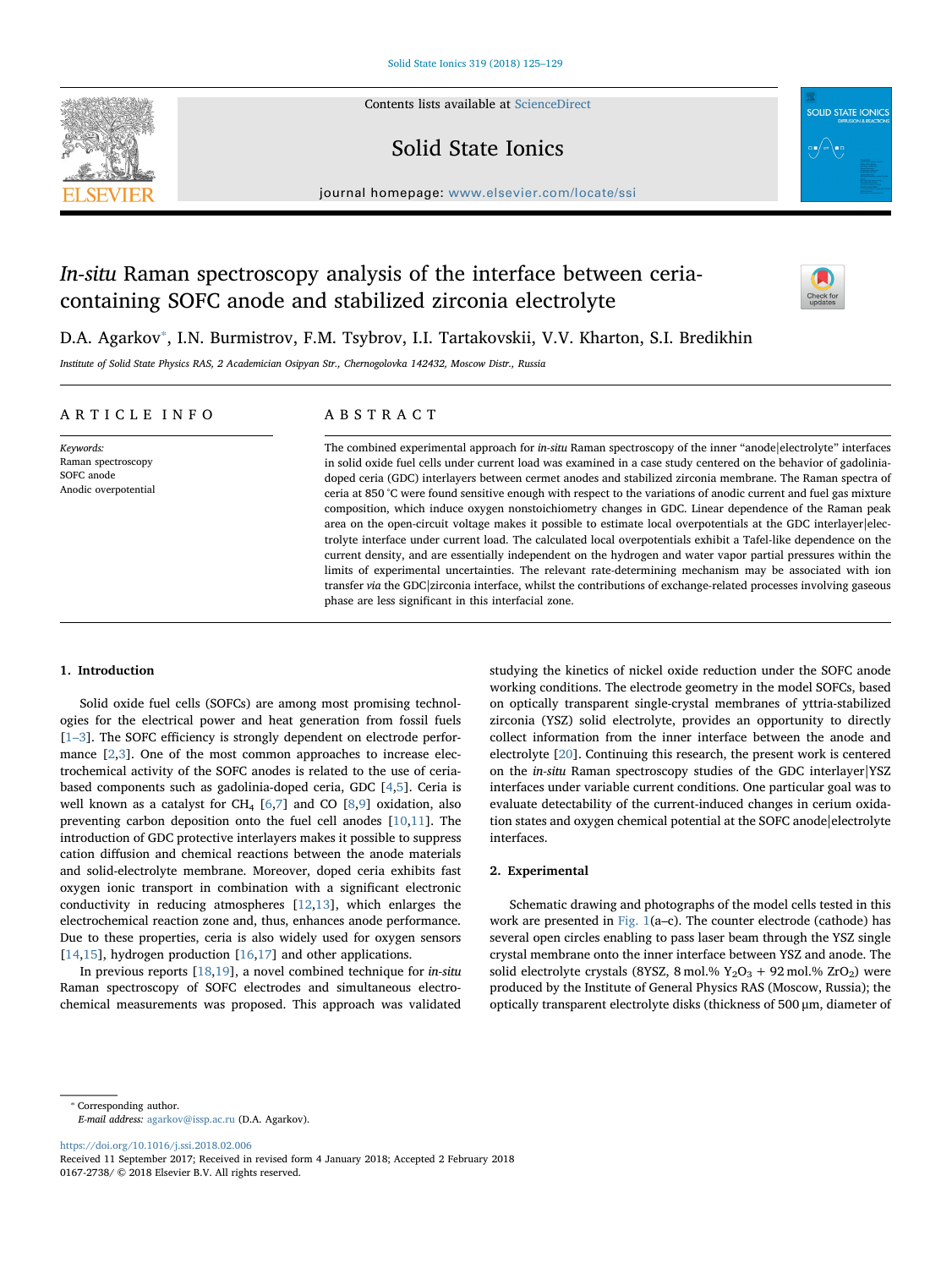Contents lists available at [ScienceDirect](http://www.sciencedirect.com/science/journal/01672738)



Solid State Ionics



journal homepage: [www.elsevier.com/locate/ssi](https://www.elsevier.com/locate/ssi)

# In-situ Raman spectroscopy analysis of the interface between ceriacontaining SOFC anode and stabilized zirconia electrolyte



D.A. Agarkov<sup>\*</sup>, I.N. Burmistrov, F.M. Tsybrov, I.I. Tartakovskii, V.V. Kharton, S.I. Bredikhin

Institute of Solid State Physics RAS, 2 Academician Osipyan Str., Chernogolovka 142432, Moscow Distr., Russia

### ARTICLE INFO

Keywords: Raman spectroscopy SOFC anode Anodic overpotential

## ABSTRACT

The combined experimental approach for *in-situ* Raman spectroscopy of the inner "anode|electrolyte" interfaces in solid oxide fuel cells under current load was examined in a case study centered on the behavior of gadoliniadoped ceria (GDC) interlayers between cermet anodes and stabilized zirconia membrane. The Raman spectra of ceria at 850 °C were found sensitive enough with respect to the variations of anodic current and fuel gas mixture composition, which induce oxygen nonstoichiometry changes in GDC. Linear dependence of the Raman peak area on the open-circuit voltage makes it possible to estimate local overpotentials at the GDC interlayer|electrolyte interface under current load. The calculated local overpotentials exhibit a Tafel-like dependence on the current density, and are essentially independent on the hydrogen and water vapor partial pressures within the limits of experimental uncertainties. The relevant rate-determining mechanism may be associated with ion transfer via the GDC zirconia interface, whilst the contributions of exchange-related processes involving gaseous phase are less significant in this interfacial zone.

#### 1. Introduction

Solid oxide fuel cells (SOFCs) are among most promising technologies for the electrical power and heat generation from fossil fuels [1–[3\]](#page-4-0). The SOFC efficiency is strongly dependent on electrode performance [[2](#page-4-1)[,3\]](#page-4-2). One of the most common approaches to increase electrochemical activity of the SOFC anodes is related to the use of ceriabased components such as gadolinia-doped ceria, GDC [\[4](#page-4-3)[,5\]](#page-4-4). Ceria is well known as a catalyst for  $CH_4$  [[6](#page-4-5),[7](#page-4-6)] and CO [[8](#page-4-7),[9](#page-4-8)] oxidation, also preventing carbon deposition onto the fuel cell anodes [[10](#page-4-9)[,11](#page-4-10)]. The introduction of GDC protective interlayers makes it possible to suppress cation diffusion and chemical reactions between the anode materials and solid-electrolyte membrane. Moreover, doped ceria exhibits fast oxygen ionic transport in combination with a significant electronic conductivity in reducing atmospheres [\[12](#page-4-11),[13\]](#page-4-12), which enlarges the electrochemical reaction zone and, thus, enhances anode performance. Due to these properties, ceria is also widely used for oxygen sensors [[14](#page-4-13)[,15](#page-4-14)], hydrogen production [\[16](#page-4-15)[,17](#page-4-16)] and other applications.

In previous reports [[18,](#page-4-17)[19\]](#page-4-18), a novel combined technique for in-situ Raman spectroscopy of SOFC electrodes and simultaneous electrochemical measurements was proposed. This approach was validated

studying the kinetics of nickel oxide reduction under the SOFC anode working conditions. The electrode geometry in the model SOFCs, based on optically transparent single-crystal membranes of yttria-stabilized zirconia (YSZ) solid electrolyte, provides an opportunity to directly collect information from the inner interface between the anode and electrolyte [[20\]](#page-4-19). Continuing this research, the present work is centered on the in-situ Raman spectroscopy studies of the GDC interlayer|YSZ interfaces under variable current conditions. One particular goal was to evaluate detectability of the current-induced changes in cerium oxidation states and oxygen chemical potential at the SOFC anode|electrolyte interfaces.

#### 2. Experimental

Schematic drawing and photographs of the model cells tested in this work are presented in Fig.  $1(a-c)$ . The counter electrode (cathode) has several open circles enabling to pass laser beam through the YSZ single crystal membrane onto the inner interface between YSZ and anode. The solid electrolyte crystals (8YSZ, 8 mol.%  $Y_2O_3 + 92$  mol.% ZrO<sub>2</sub>) were produced by the Institute of General Physics RAS (Moscow, Russia); the optically transparent electrolyte disks (thickness of 500 μm, diameter of

<span id="page-0-0"></span>⁎ Corresponding author. E-mail address: [agarkov@issp.ac.ru](mailto:agarkov@issp.ac.ru) (D.A. Agarkov).

<https://doi.org/10.1016/j.ssi.2018.02.006>

Received 11 September 2017; Received in revised form 4 January 2018; Accepted 2 February 2018 0167-2738/ © 2018 Elsevier B.V. All rights reserved.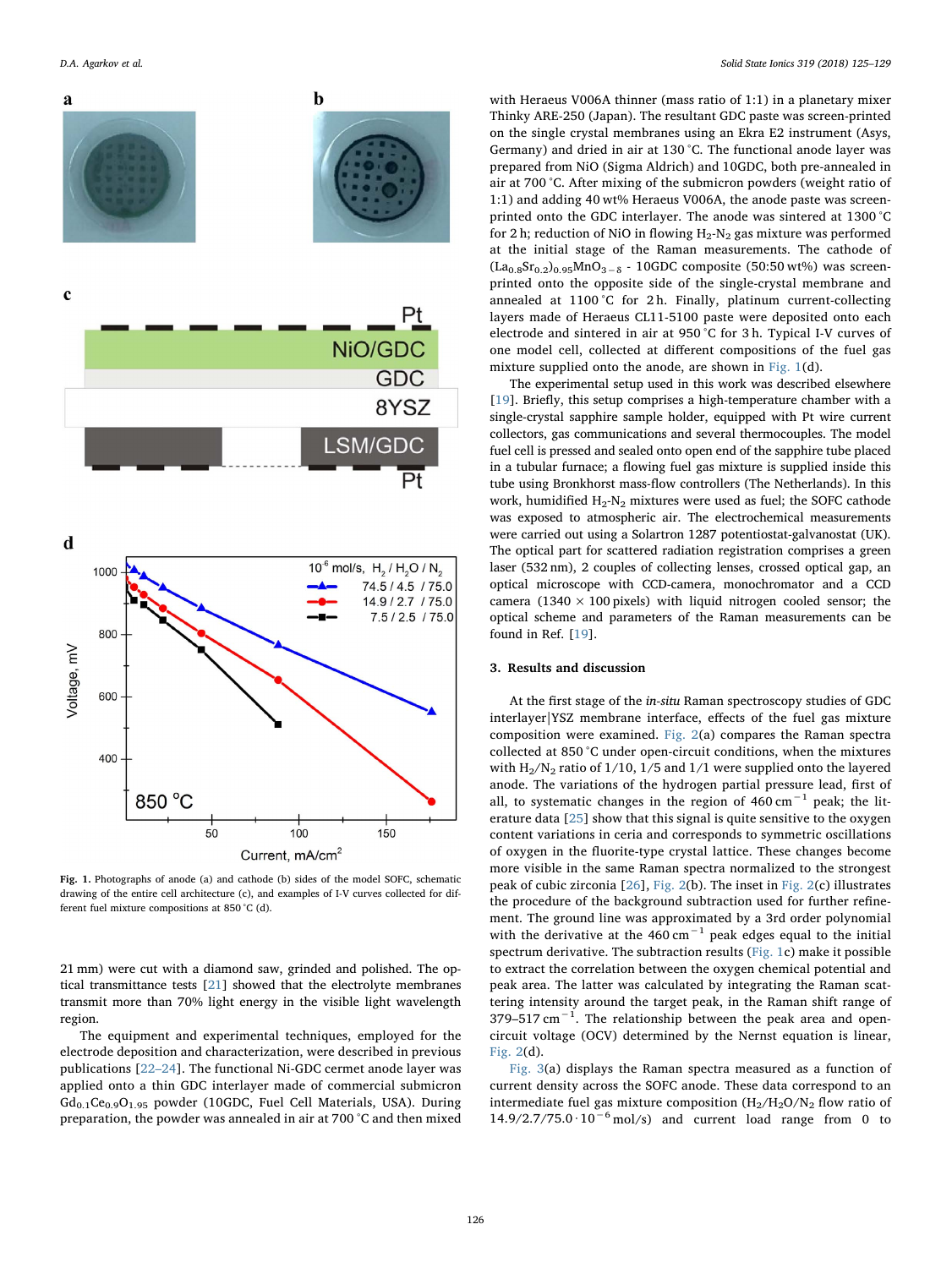<span id="page-1-0"></span>

Fig. 1. Photographs of anode (a) and cathode (b) sides of the model SOFC, schematic drawing of the entire cell architecture (c), and examples of I-V curves collected for different fuel mixture compositions at 850 °C (d).

21 mm) were cut with a diamond saw, grinded and polished. The optical transmittance tests [\[21](#page-4-20)] showed that the electrolyte membranes transmit more than 70% light energy in the visible light wavelength region.

The equipment and experimental techniques, employed for the electrode deposition and characterization, were described in previous publications [[22](#page-4-21)–24]. The functional Ni-GDC cermet anode layer was applied onto a thin GDC interlayer made of commercial submicron  $Gd_{0.1}Ce_{0.9}O_{1.95}$  powder (10GDC, Fuel Cell Materials, USA). During preparation, the powder was annealed in air at 700 °C and then mixed

with Heraeus V006A thinner (mass ratio of 1:1) in a planetary mixer Thinky ARE-250 (Japan). The resultant GDC paste was screen-printed on the single crystal membranes using an Ekra E2 instrument (Asys, Germany) and dried in air at 130 °C. The functional anode layer was prepared from NiO (Sigma Aldrich) and 10GDC, both pre-annealed in air at 700 °C. After mixing of the submicron powders (weight ratio of 1:1) and adding 40 wt% Heraeus V006A, the anode paste was screenprinted onto the GDC interlayer. The anode was sintered at 1300 °С for 2 h; reduction of NiO in flowing  $H_2-N_2$  gas mixture was performed at the initial stage of the Raman measurements. The cathode of  $(La<sub>0.8</sub>Sr<sub>0.2</sub>)<sub>0.95</sub>MnO<sub>3−δ</sub> - 10GDC composite (50:50 wt%) was screen$ printed onto the opposite side of the single-crystal membrane and annealed at 1100 °C for 2 h. Finally, platinum current-collecting layers made of Heraeus CL11-5100 paste were deposited onto each electrode and sintered in air at 950 °C for 3 h. Typical I-V curves of one model cell, collected at different compositions of the fuel gas mixture supplied onto the anode, are shown in [Fig. 1](#page-1-0)(d).

The experimental setup used in this work was described elsewhere [[19\]](#page-4-18). Briefly, this setup comprises a high-temperature chamber with a single-crystal sapphire sample holder, equipped with Pt wire current collectors, gas communications and several thermocouples. The model fuel cell is pressed and sealed onto open end of the sapphire tube placed in a tubular furnace; a flowing fuel gas mixture is supplied inside this tube using Bronkhorst mass-flow controllers (The Netherlands). In this work, humidified  $H_2-N_2$  mixtures were used as fuel; the SOFC cathode was exposed to atmospheric air. The electrochemical measurements were carried out using a Solartron 1287 potentiostat-galvanostat (UK). The optical part for scattered radiation registration comprises a green laser (532 nm), 2 couples of collecting lenses, crossed optical gap, an optical microscope with CCD-camera, monochromator and a CCD camera (1340  $\times$  100 pixels) with liquid nitrogen cooled sensor; the optical scheme and parameters of the Raman measurements can be found in Ref. [\[19](#page-4-18)].

#### 3. Results and discussion

At the first stage of the in-situ Raman spectroscopy studies of GDC interlayer|YSZ membrane interface, effects of the fuel gas mixture composition were examined. [Fig. 2](#page-2-0)(a) compares the Raman spectra collected at 850 °C under open-circuit conditions, when the mixtures with  $H_2/N_2$  ratio of 1/10, 1/5 and 1/1 were supplied onto the layered anode. The variations of the hydrogen partial pressure lead, first of all, to systematic changes in the region of  $460 \text{ cm}^{-1}$  peak; the literature data [\[25](#page-4-22)] show that this signal is quite sensitive to the oxygen content variations in ceria and corresponds to symmetric oscillations of oxygen in the fluorite-type crystal lattice. These changes become more visible in the same Raman spectra normalized to the strongest peak of cubic zirconia [[26\]](#page-4-23), [Fig. 2](#page-2-0)(b). The inset in [Fig. 2\(](#page-2-0)c) illustrates the procedure of the background subtraction used for further refinement. The ground line was approximated by a 3rd order polynomial with the derivative at the 460 cm−<sup>1</sup> peak edges equal to the initial spectrum derivative. The subtraction results ([Fig. 1c](#page-1-0)) make it possible to extract the correlation between the oxygen chemical potential and peak area. The latter was calculated by integrating the Raman scattering intensity around the target peak, in the Raman shift range of 379–517 cm<sup>-1</sup>. The relationship between the peak area and opencircuit voltage (OCV) determined by the Nernst equation is linear, [Fig. 2](#page-2-0)(d).

[Fig. 3\(](#page-3-0)a) displays the Raman spectra measured as a function of current density across the SOFC anode. These data correspond to an intermediate fuel gas mixture composition  $(H_2/H_2O/N_2)$  flow ratio of  $14.9/2.7/75.0 \cdot 10^{-6}$  mol/s) and current load range from 0 to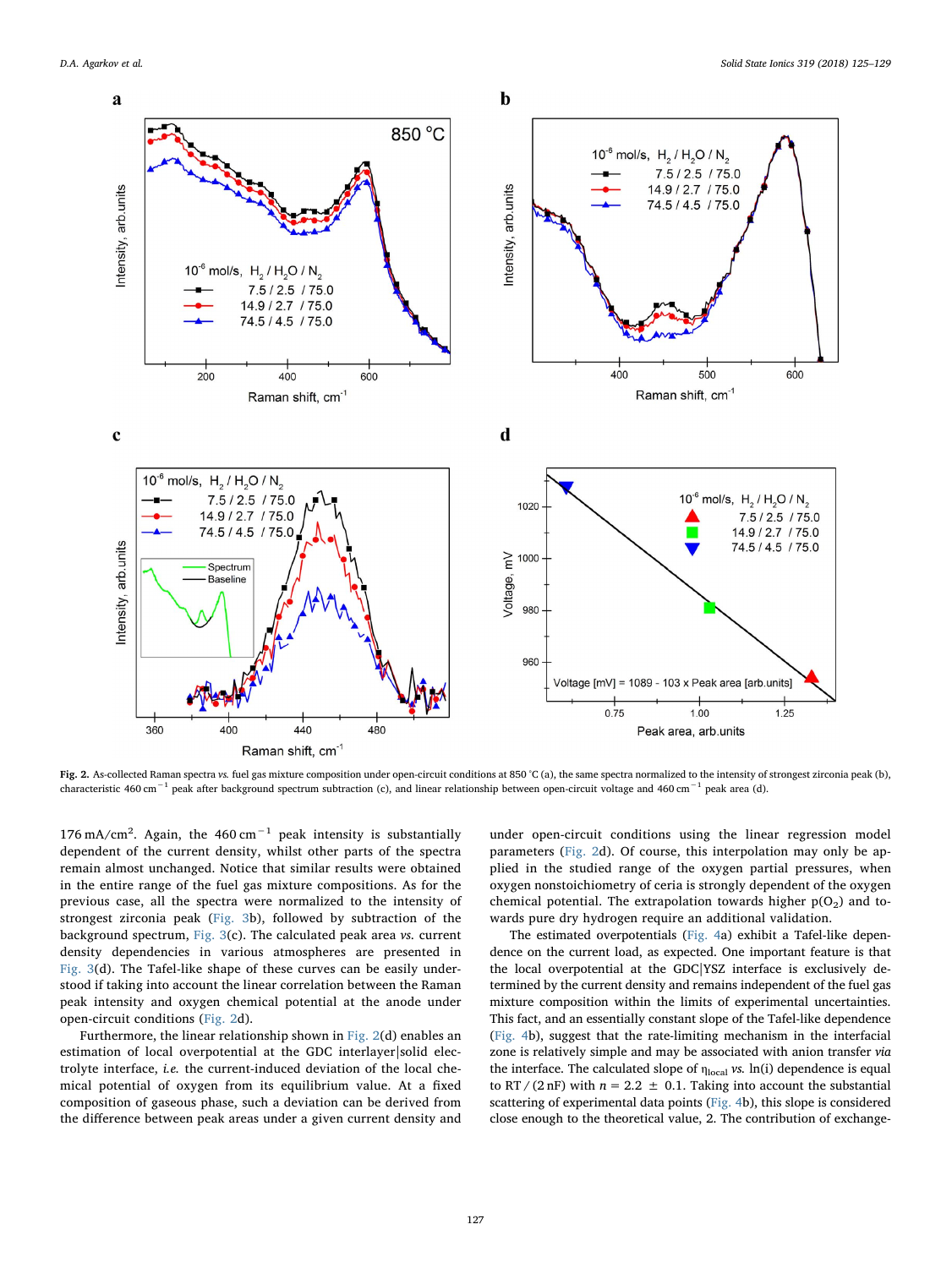<span id="page-2-0"></span>

Fig. 2. As-collected Raman spectra vs. fuel gas mixture composition under open-circuit conditions at 850 °C (a), the same spectra normalized to the intensity of strongest zirconia peak (b), characteristic 460 cm−<sup>1</sup> peak after background spectrum subtraction (c), and linear relationship between open-circuit voltage and 460 cm−<sup>1</sup> peak area (d).

176 mA/cm<sup>2</sup>. Again, the 460 cm<sup>-1</sup> peak intensity is substantially dependent of the current density, whilst other parts of the spectra remain almost unchanged. Notice that similar results were obtained in the entire range of the fuel gas mixture compositions. As for the previous case, all the spectra were normalized to the intensity of strongest zirconia peak [\(Fig. 3](#page-3-0)b), followed by subtraction of the background spectrum, [Fig. 3\(](#page-3-0)c). The calculated peak area vs. current density dependencies in various atmospheres are presented in [Fig. 3](#page-3-0)(d). The Tafel-like shape of these curves can be easily understood if taking into account the linear correlation between the Raman peak intensity and oxygen chemical potential at the anode under open-circuit conditions ([Fig. 2d](#page-2-0)).

Furthermore, the linear relationship shown in [Fig. 2\(](#page-2-0)d) enables an estimation of local overpotential at the GDC interlayer|solid electrolyte interface, i.e. the current-induced deviation of the local chemical potential of oxygen from its equilibrium value. At a fixed composition of gaseous phase, such a deviation can be derived from the difference between peak areas under a given current density and

under open-circuit conditions using the linear regression model parameters [\(Fig. 2d](#page-2-0)). Of course, this interpolation may only be applied in the studied range of the oxygen partial pressures, when oxygen nonstoichiometry of ceria is strongly dependent of the oxygen chemical potential. The extrapolation towards higher  $p(O_2)$  and towards pure dry hydrogen require an additional validation.

The estimated overpotentials [\(Fig. 4](#page-4-24)a) exhibit a Tafel-like dependence on the current load, as expected. One important feature is that the local overpotential at the GDC|YSZ interface is exclusively determined by the current density and remains independent of the fuel gas mixture composition within the limits of experimental uncertainties. This fact, and an essentially constant slope of the Tafel-like dependence ([Fig. 4b](#page-4-24)), suggest that the rate-limiting mechanism in the interfacial zone is relatively simple and may be associated with anion transfer via the interface. The calculated slope of  $\eta_{local}$  vs. ln(i) dependence is equal to RT / (2 nF) with  $n = 2.2 \pm 0.1$ . Taking into account the substantial scattering of experimental data points ([Fig. 4b](#page-4-24)), this slope is considered close enough to the theoretical value, 2. The contribution of exchange-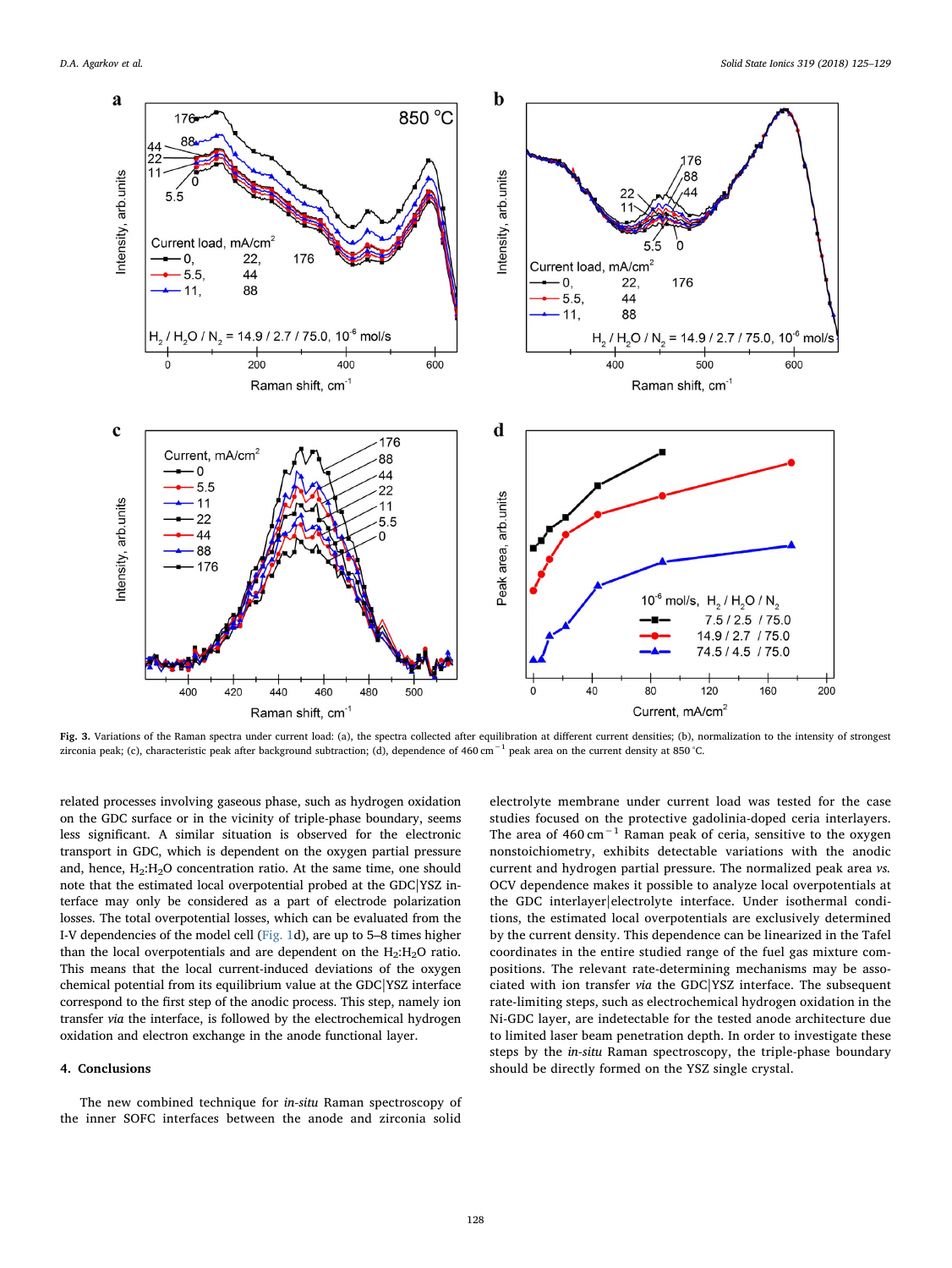<span id="page-3-0"></span>

Fig. 3. Variations of the Raman spectra under current load: (a), the spectra collected after equilibration at different current densities; (b), normalization to the intensity of strongest zirconia peak; (c), characteristic peak after background subtraction; (d), dependence of 460 cm−<sup>1</sup> peak area on the current density at 850 °C.

related processes involving gaseous phase, such as hydrogen oxidation on the GDC surface or in the vicinity of triple-phase boundary, seems less significant. A similar situation is observed for the electronic transport in GDC, which is dependent on the oxygen partial pressure and, hence,  $H_2:H_2O$  concentration ratio. At the same time, one should note that the estimated local overpotential probed at the GDC|YSZ interface may only be considered as a part of electrode polarization losses. The total overpotential losses, which can be evaluated from the I-V dependencies of the model cell [\(Fig. 1d](#page-1-0)), are up to 5–8 times higher than the local overpotentials and are dependent on the  $H_2:H_2O$  ratio. This means that the local current-induced deviations of the oxygen chemical potential from its equilibrium value at the GDC|YSZ interface correspond to the first step of the anodic process. This step, namely ion transfer via the interface, is followed by the electrochemical hydrogen oxidation and electron exchange in the anode functional layer.

#### 4. Conclusions

The new combined technique for in-situ Raman spectroscopy of the inner SOFC interfaces between the anode and zirconia solid

electrolyte membrane under current load was tested for the case studies focused on the protective gadolinia-doped ceria interlayers. The area of 460 cm−<sup>1</sup> Raman peak of ceria, sensitive to the oxygen nonstoichiometry, exhibits detectable variations with the anodic current and hydrogen partial pressure. The normalized peak area vs. OCV dependence makes it possible to analyze local overpotentials at the GDC interlayer|electrolyte interface. Under isothermal conditions, the estimated local overpotentials are exclusively determined by the current density. This dependence can be linearized in the Tafel coordinates in the entire studied range of the fuel gas mixture compositions. The relevant rate-determining mechanisms may be associated with ion transfer via the GDC|YSZ interface. The subsequent rate-limiting steps, such as electrochemical hydrogen oxidation in the Ni-GDC layer, are indetectable for the tested anode architecture due to limited laser beam penetration depth. In order to investigate these steps by the in-situ Raman spectroscopy, the triple-phase boundary should be directly formed on the YSZ single crystal.